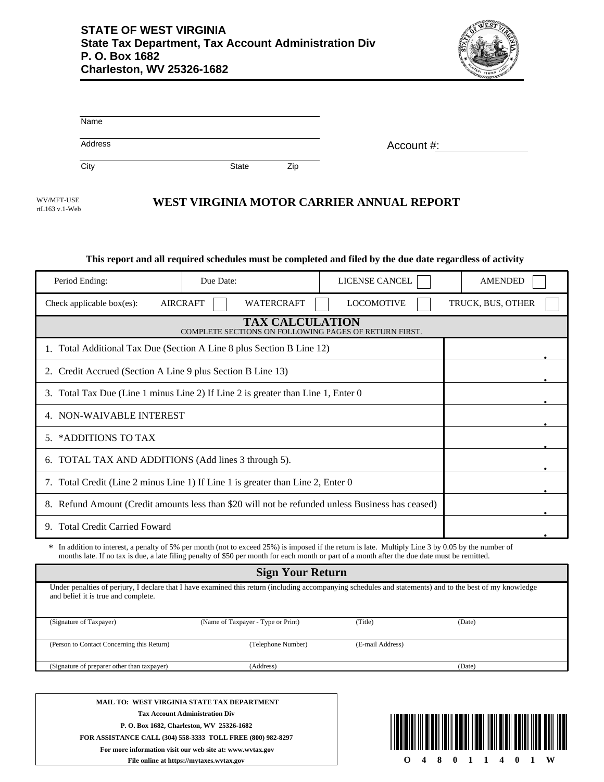

| Name    |              |     |            |
|---------|--------------|-----|------------|
| Address |              |     | Account #: |
| City    | <b>State</b> | Zip |            |

WV/MFT-USE rtL163 v.1-Web

### **WEST VIRGINIA MOTOR CARRIER ANNUAL REPORT**

#### **This report and all required schedules must be completed and filed by the due date regardless of activity**

| Period Ending:                                                                                                                                                                                                                                                                                       | Due Date:                            | LICENSE CANCEL    | <b>AMENDED</b>    |  |  |  |
|------------------------------------------------------------------------------------------------------------------------------------------------------------------------------------------------------------------------------------------------------------------------------------------------------|--------------------------------------|-------------------|-------------------|--|--|--|
| Check applicable box(es):                                                                                                                                                                                                                                                                            | <b>AIRCRAFT</b><br><b>WATERCRAFT</b> | <b>LOCOMOTIVE</b> | TRUCK, BUS, OTHER |  |  |  |
| <b>TAX CALCULATION</b><br>COMPLETE SECTIONS ON FOLLOWING PAGES OF RETURN FIRST.                                                                                                                                                                                                                      |                                      |                   |                   |  |  |  |
| 1. Total Additional Tax Due (Section A Line 8 plus Section B Line 12)                                                                                                                                                                                                                                |                                      |                   |                   |  |  |  |
| Credit Accrued (Section A Line 9 plus Section B Line 13)<br>2.                                                                                                                                                                                                                                       |                                      |                   |                   |  |  |  |
| Total Tax Due (Line 1 minus Line 2) If Line 2 is greater than Line 1, Enter 0<br>3.                                                                                                                                                                                                                  |                                      |                   |                   |  |  |  |
| 4. NON-WAIVABLE INTEREST                                                                                                                                                                                                                                                                             |                                      |                   |                   |  |  |  |
| *ADDITIONS TO TAX<br>5.                                                                                                                                                                                                                                                                              |                                      |                   |                   |  |  |  |
| 6. TOTAL TAX AND ADDITIONS (Add lines 3 through 5).                                                                                                                                                                                                                                                  |                                      |                   |                   |  |  |  |
| 7. Total Credit (Line 2 minus Line 1) If Line 1 is greater than Line 2, Enter 0                                                                                                                                                                                                                      |                                      |                   |                   |  |  |  |
| 8. Refund Amount (Credit amounts less than \$20 will not be refunded unless Business has ceased)                                                                                                                                                                                                     |                                      |                   |                   |  |  |  |
| <b>Total Credit Carried Foward</b><br>9.                                                                                                                                                                                                                                                             |                                      |                   |                   |  |  |  |
| * In addition to interest, a penalty of 5% per month (not to exceed 25%) is imposed if the return is late. Multiply Line 3 by 0.05 by the number of<br>months late. If no tax is due, a late filing penalty of \$50 per month for each month or part of a month after the due date must be remitted. |                                      |                   |                   |  |  |  |

| <b>Sign Your Return</b>                                                                                                                                                                         |                                    |                  |        |  |  |
|-------------------------------------------------------------------------------------------------------------------------------------------------------------------------------------------------|------------------------------------|------------------|--------|--|--|
| Under penalties of perjury, I declare that I have examined this return (including accompanying schedules and statements) and to the best of my knowledge<br>and belief it is true and complete. |                                    |                  |        |  |  |
| (Signature of Taxpayer)                                                                                                                                                                         | (Name of Taxpayer - Type or Print) | (Title)          | (Date) |  |  |
|                                                                                                                                                                                                 |                                    |                  |        |  |  |
| (Person to Contact Concerning this Return)                                                                                                                                                      | (Telephone Number)                 | (E-mail Address) |        |  |  |
| (Signature of preparer other than taxpayer)                                                                                                                                                     | (Address)                          |                  | (Date) |  |  |
|                                                                                                                                                                                                 |                                    |                  |        |  |  |
|                                                                                                                                                                                                 |                                    |                  |        |  |  |
|                                                                                                                                                                                                 |                                    |                  |        |  |  |

**MAIL TO: WEST VIRGINIA STATE TAX DEPARTMENT Tax Account Administration Div P. O. Box 1682, Charleston, WV 25326-1682 FOR ASSISTANCE CALL (304) 558-3333 TOLL FREE (800) 982-8297 For more information visit our web site at: www.wvtax.gov File online at https://mytaxes.wvtax.gov**